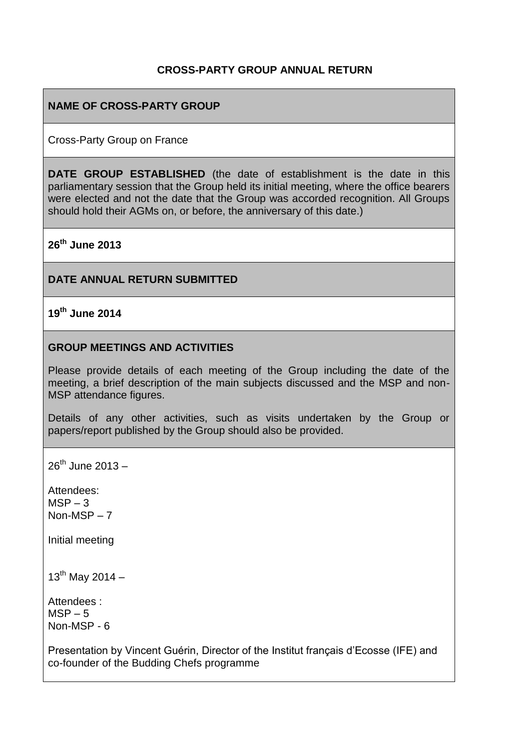### **CROSS-PARTY GROUP ANNUAL RETURN**

### **NAME OF CROSS-PARTY GROUP**

Cross-Party Group on France

**DATE GROUP ESTABLISHED** (the date of establishment is the date in this parliamentary session that the Group held its initial meeting, where the office bearers were elected and not the date that the Group was accorded recognition. All Groups should hold their AGMs on, or before, the anniversary of this date.)

**26th June 2013**

#### **DATE ANNUAL RETURN SUBMITTED**

**19th June 2014**

### **GROUP MEETINGS AND ACTIVITIES**

Please provide details of each meeting of the Group including the date of the meeting, a brief description of the main subjects discussed and the MSP and non-MSP attendance figures.

Details of any other activities, such as visits undertaken by the Group or papers/report published by the Group should also be provided.

 $26^{th}$  June 2013 –

Attendees:  $MSP - 3$ Non-MSP – 7

Initial meeting

 $13^{th}$  May 2014 –

Attendees :  $MSP - 5$ Non-MSP - 6

Presentation by Vincent Guérin, Director of the Institut français d'Ecosse (IFE) and co-founder of the Budding Chefs programme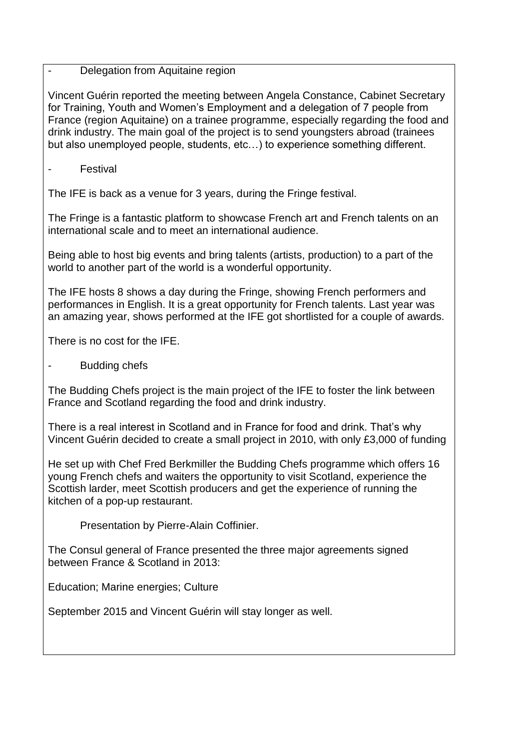#### Delegation from Aquitaine region

Vincent Guérin reported the meeting between Angela Constance, Cabinet Secretary for Training, Youth and Women's Employment and a delegation of 7 people from France (region Aquitaine) on a trainee programme, especially regarding the food and drink industry. The main goal of the project is to send youngsters abroad (trainees but also unemployed people, students, etc…) to experience something different.

**Festival** 

The IFE is back as a venue for 3 years, during the Fringe festival.

The Fringe is a fantastic platform to showcase French art and French talents on an international scale and to meet an international audience.

Being able to host big events and bring talents (artists, production) to a part of the world to another part of the world is a wonderful opportunity.

The IFE hosts 8 shows a day during the Fringe, showing French performers and performances in English. It is a great opportunity for French talents. Last year was an amazing year, shows performed at the IFE got shortlisted for a couple of awards.

There is no cost for the IFE.

Budding chefs

The Budding Chefs project is the main project of the IFE to foster the link between France and Scotland regarding the food and drink industry.

There is a real interest in Scotland and in France for food and drink. That's why Vincent Guérin decided to create a small project in 2010, with only £3,000 of funding

He set up with Chef Fred Berkmiller the Budding Chefs programme which offers 16 young French chefs and waiters the opportunity to visit Scotland, experience the Scottish larder, meet Scottish producers and get the experience of running the kitchen of a pop-up restaurant.

Presentation by Pierre-Alain Coffinier.

The Consul general of France presented the three major agreements signed between France & Scotland in 2013:

Education; Marine energies; Culture

September 2015 and Vincent Guérin will stay longer as well.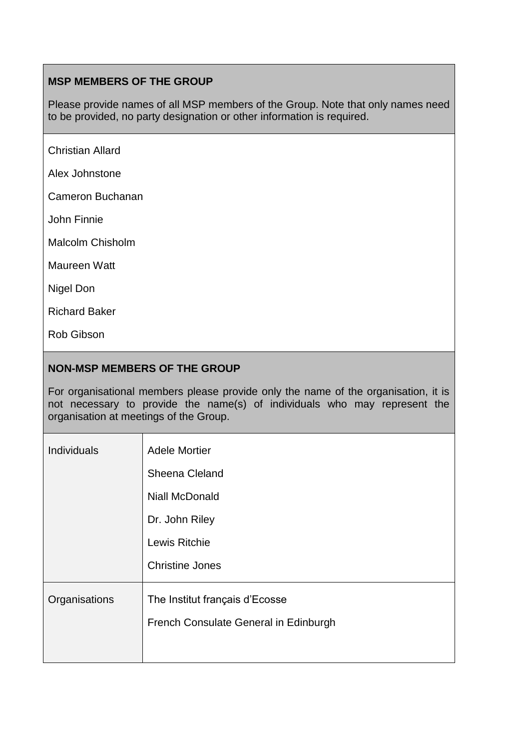# **MSP MEMBERS OF THE GROUP**

Please provide names of all MSP members of the Group. Note that only names need to be provided, no party designation or other information is required.

Christian Allard

Alex Johnstone

Cameron Buchanan

John Finnie

Malcolm Chisholm

Maureen Watt

Nigel Don

Richard Baker

Rob Gibson

### **NON-MSP MEMBERS OF THE GROUP**

For organisational members please provide only the name of the organisation, it is not necessary to provide the name(s) of individuals who may represent the organisation at meetings of the Group.

| Individuals   | <b>Adele Mortier</b>                  |
|---------------|---------------------------------------|
|               | Sheena Cleland                        |
|               | <b>Niall McDonald</b>                 |
|               | Dr. John Riley                        |
|               | Lewis Ritchie                         |
|               | <b>Christine Jones</b>                |
| Organisations | The Institut français d'Ecosse        |
|               | French Consulate General in Edinburgh |
|               |                                       |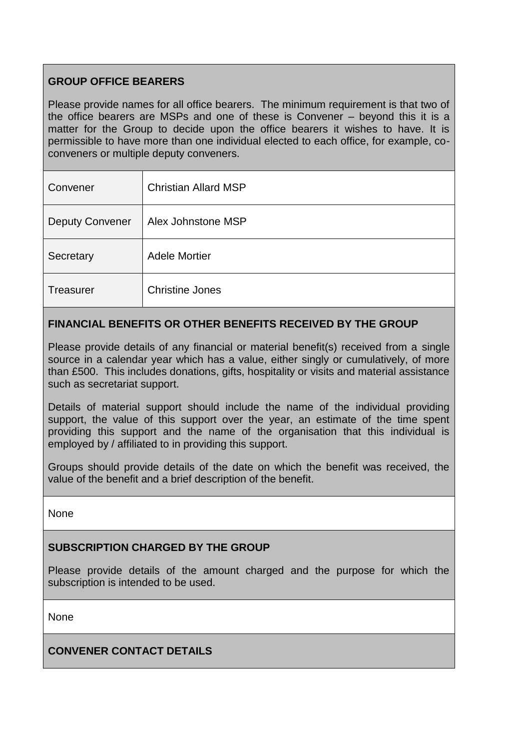# **GROUP OFFICE BEARERS**

Please provide names for all office bearers. The minimum requirement is that two of the office bearers are MSPs and one of these is Convener – beyond this it is a matter for the Group to decide upon the office bearers it wishes to have. It is permissible to have more than one individual elected to each office, for example, coconveners or multiple deputy conveners.

| Convener               | <b>Christian Allard MSP</b> |
|------------------------|-----------------------------|
| <b>Deputy Convener</b> | Alex Johnstone MSP          |
| Secretary              | <b>Adele Mortier</b>        |
| <b>Treasurer</b>       | <b>Christine Jones</b>      |

# **FINANCIAL BENEFITS OR OTHER BENEFITS RECEIVED BY THE GROUP**

Please provide details of any financial or material benefit(s) received from a single source in a calendar year which has a value, either singly or cumulatively, of more than £500. This includes donations, gifts, hospitality or visits and material assistance such as secretariat support.

Details of material support should include the name of the individual providing support, the value of this support over the year, an estimate of the time spent providing this support and the name of the organisation that this individual is employed by / affiliated to in providing this support.

Groups should provide details of the date on which the benefit was received, the value of the benefit and a brief description of the benefit.

None

#### **SUBSCRIPTION CHARGED BY THE GROUP**

Please provide details of the amount charged and the purpose for which the subscription is intended to be used.

None

# **CONVENER CONTACT DETAILS**